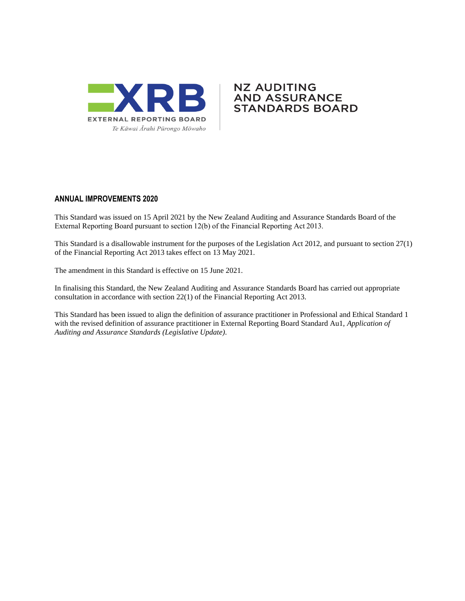

#### **NZ AUDITING** AND ASSURANCE **STANDARDS BOARD**

#### **ANNUAL IMPROVEMENTS 2020**

This Standard was issued on 15 April 2021 by the New Zealand Auditing and Assurance Standards Board of the External Reporting Board pursuant to section 12(b) of the Financial Reporting Act 2013.

This Standard is a disallowable instrument for the purposes of the Legislation Act 2012, and pursuant to section 27(1) of the Financial Reporting Act 2013 takes effect on 13 May 2021.

The amendment in this Standard is effective on 15 June 2021.

In finalising this Standard, the New Zealand Auditing and Assurance Standards Board has carried out appropriate consultation in accordance with section 22(1) of the Financial Reporting Act 2013.

This Standard has been issued to align the definition of assurance practitioner in Professional and Ethical Standard 1 with the revised definition of assurance practitioner in External Reporting Board Standard Au1, *Application of Auditing and Assurance Standards (Legislative Update)*.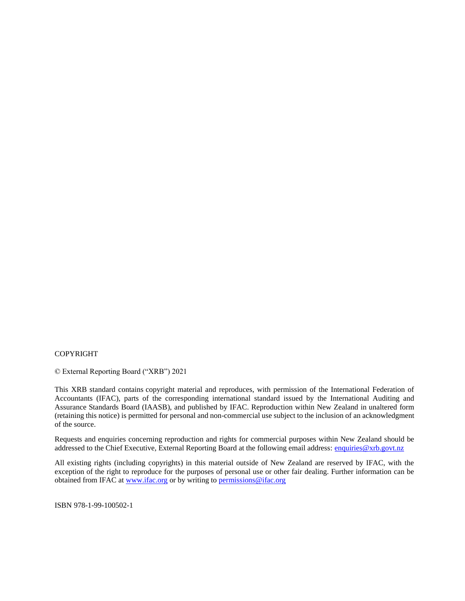#### COPYRIGHT

© External Reporting Board ("XRB") 2021

This XRB standard contains copyright material and reproduces, with permission of the International Federation of Accountants (IFAC), parts of the corresponding international standard issued by the International Auditing and Assurance Standards Board (IAASB), and published by IFAC. Reproduction within New Zealand in unaltered form (retaining this notice) is permitted for personal and non-commercial use subject to the inclusion of an acknowledgment of the source.

Requests and enquiries concerning reproduction and rights for commercial purposes within New Zealand should be addressed to the Chief Executive, External Reporting Board at the following email address: [enquiries@xrb.govt.nz](mailto:enquiries@xrb.govt.nz)

All existing rights (including copyrights) in this material outside of New Zealand are reserved by IFAC, with the exception of the right to reproduce for the purposes of personal use or other fair dealing. Further information can be obtained from IFAC at [www.ifac.org](http://www.ifac.org/) or by writing to [permissions@ifac.org](mailto:permissions@ifac.org)

ISBN 978-1-99-100502-1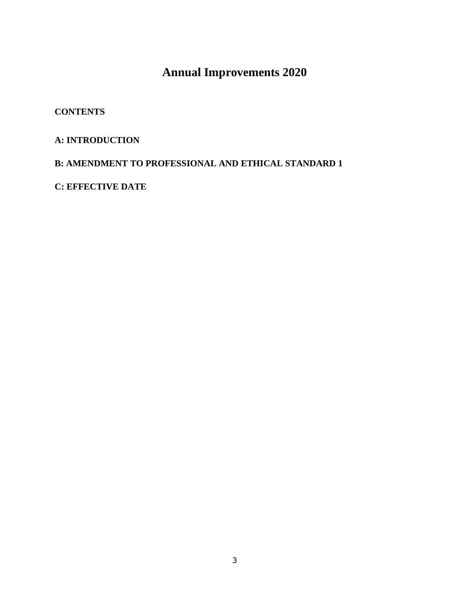# **Annual Improvements 2020**

#### **CONTENTS**

## **A: INTRODUCTION**

#### **B: AMENDMENT TO PROFESSIONAL AND ETHICAL STANDARD 1**

**C: EFFECTIVE DATE**